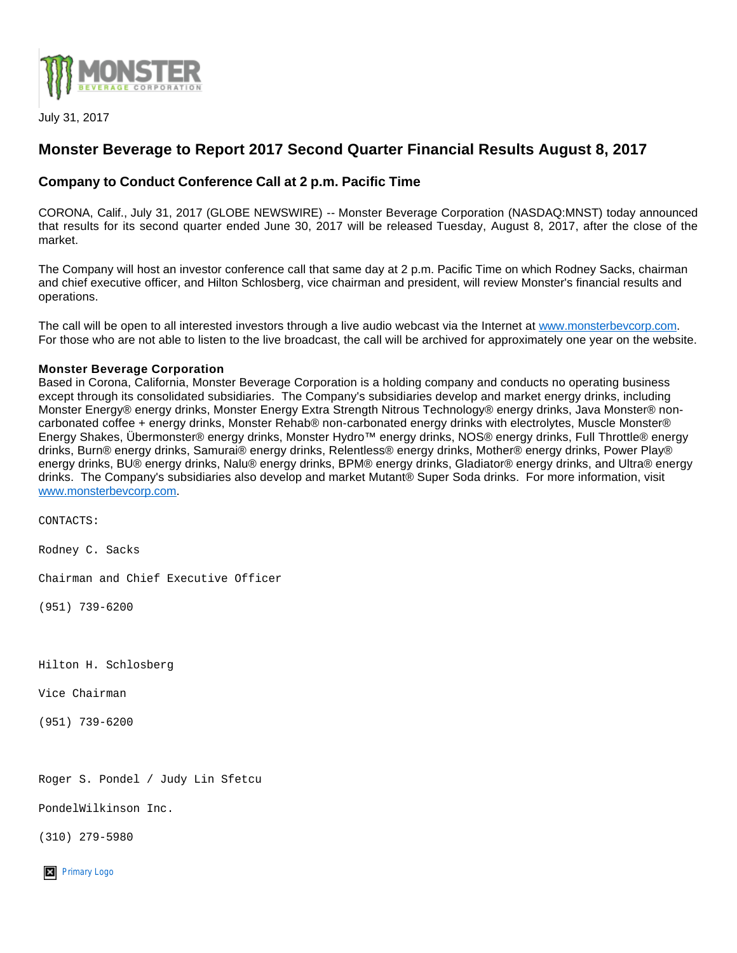

July 31, 2017

## **Monster Beverage to Report 2017 Second Quarter Financial Results August 8, 2017**

## **Company to Conduct Conference Call at 2 p.m. Pacific Time**

CORONA, Calif., July 31, 2017 (GLOBE NEWSWIRE) -- Monster Beverage Corporation (NASDAQ:MNST) today announced that results for its second quarter ended June 30, 2017 will be released Tuesday, August 8, 2017, after the close of the market.

The Company will host an investor conference call that same day at 2 p.m. Pacific Time on which Rodney Sacks, chairman and chief executive officer, and Hilton Schlosberg, vice chairman and president, will review Monster's financial results and operations.

The call will be open to all interested investors through a live audio webcast via the Internet at [www.monsterbevcorp.com](https://www.globenewswire.com/Tracker?data=n6AGSje4fafBUH2gUYTkGFe2uWr7xhKp-J_gXtTghqwSY0zs2bf337hkKLVa2OJngdkkMcNk836P9_MhOKu1gKj-GMBkG6ge6n-LmjdYHFU=). For those who are not able to listen to the live broadcast, the call will be archived for approximately one year on the website.

## **Monster Beverage Corporation**

Based in Corona, California, Monster Beverage Corporation is a holding company and conducts no operating business except through its consolidated subsidiaries. The Company's subsidiaries develop and market energy drinks, including Monster Energy® energy drinks, Monster Energy Extra Strength Nitrous Technology® energy drinks, Java Monster® noncarbonated coffee + energy drinks, Monster Rehab® non-carbonated energy drinks with electrolytes, Muscle Monster® Energy Shakes, Übermonster® energy drinks, Monster Hydro™ energy drinks, NOS® energy drinks, Full Throttle® energy drinks, Burn® energy drinks, Samurai® energy drinks, Relentless® energy drinks, Mother® energy drinks, Power Play® energy drinks, BU® energy drinks, Nalu® energy drinks, BPM® energy drinks, Gladiator® energy drinks, and Ultra® energy drinks. The Company's subsidiaries also develop and market Mutant® Super Soda drinks. For more information, visit [www.monsterbevcorp.com.](https://www.globenewswire.com/Tracker?data=n6AGSje4fafBUH2gUYTkGFe2uWr7xhKp-J_gXtTghqzMO_UK0ROsIYJuH6FI0qfNGeQfVKlIgG79pagj3CudpGQh9lZyesDCbZKkLn5lY10=)

CONTACTS:

Rodney C. Sacks

Chairman and Chief Executive Officer

(951) 739-6200

Hilton H. Schlosberg

Vice Chairman

(951) 739-6200

Roger S. Pondel / Judy Lin Sfetcu

PondelWilkinson Inc.

(310) 279-5980

**X** [Primary Logo](https://www.globenewswire.com/NewsRoom/AttachmentNg/b94e27d0-b76d-4c84-8e68-dc508643b8b6)